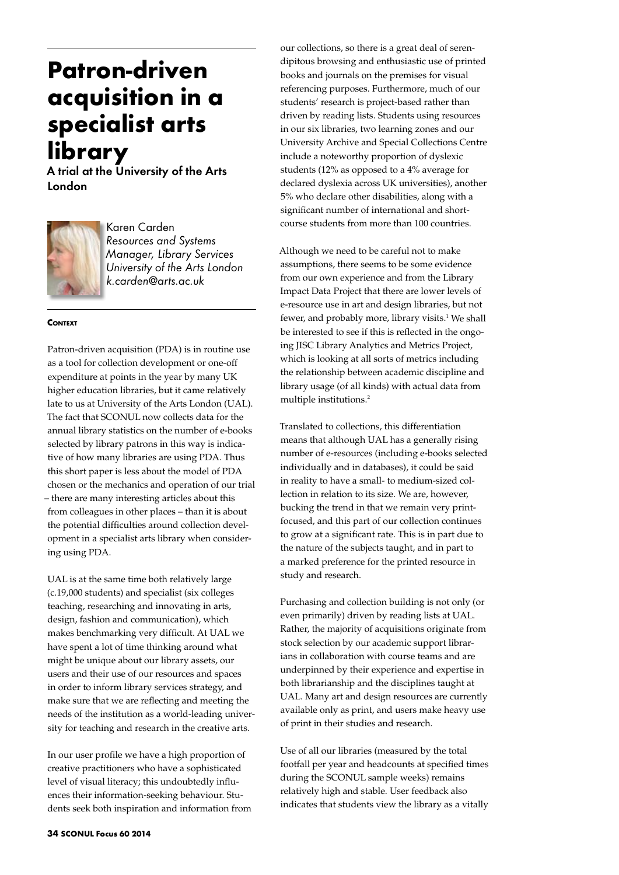# **Patron-driven acquisition in a specialist arts library**

A trial at the University of the Arts London



Karen Carden *Resources and Systems Manager, Library Services University of the Arts London k.carden@arts.ac.uk*

#### **CONTEXT**

Patron-driven acquisition (PDA) is in routine use as a tool for collection development or one-off expenditure at points in the year by many UK higher education libraries, but it came relatively late to us at University of the Arts London (UAL). The fact that SCONUL now collects data for the annual library statistics on the number of e-books selected by library patrons in this way is indicative of how many libraries are using PDA. Thus this short paper is less about the model of PDA chosen or the mechanics and operation of our trial – there are many interesting articles about this from colleagues in other places – than it is about the potential difficulties around collection development in a specialist arts library when considering using PDA.

UAL is at the same time both relatively large (c.19,000 students) and specialist (six colleges teaching, researching and innovating in arts, design, fashion and communication), which makes benchmarking very difficult. At UAL we have spent a lot of time thinking around what might be unique about our library assets, our users and their use of our resources and spaces in order to inform library services strategy, and make sure that we are reflecting and meeting the needs of the institution as a world-leading university for teaching and research in the creative arts.

In our user profile we have a high proportion of creative practitioners who have a sophisticated level of visual literacy; this undoubtedly influences their information-seeking behaviour. Students seek both inspiration and information from our collections, so there is a great deal of serendipitous browsing and enthusiastic use of printed books and journals on the premises for visual referencing purposes. Furthermore, much of our students' research is project-based rather than driven by reading lists. Students using resources in our six libraries, two learning zones and our University Archive and Special Collections Centre include a noteworthy proportion of dyslexic students (12% as opposed to a 4% average for declared dyslexia across UK universities), another 5% who declare other disabilities, along with a significant number of international and shortcourse students from more than 100 countries.

Although we need to be careful not to make assumptions, there seems to be some evidence from our own experience and from the Library Impact Data Project that there are lower levels of e-resource use in art and design libraries, but not fewer, and probably more, library visits.<sup>1</sup> We shall be interested to see if this is reflected in the ongoing JISC Library Analytics and Metrics Project, which is looking at all sorts of metrics including the relationship between academic discipline and library usage (of all kinds) with actual data from multiple institutions.2

Translated to collections, this differentiation means that although UAL has a generally rising number of e-resources (including e-books selected individually and in databases), it could be said in reality to have a small- to medium-sized collection in relation to its size. We are, however, bucking the trend in that we remain very printfocused, and this part of our collection continues to grow at a significant rate. This is in part due to the nature of the subjects taught, and in part to a marked preference for the printed resource in study and research.

Purchasing and collection building is not only (or even primarily) driven by reading lists at UAL. Rather, the majority of acquisitions originate from stock selection by our academic support librarians in collaboration with course teams and are underpinned by their experience and expertise in both librarianship and the disciplines taught at UAL. Many art and design resources are currently available only as print, and users make heavy use of print in their studies and research.

Use of all our libraries (measured by the total footfall per year and headcounts at specified times during the SCONUL sample weeks) remains relatively high and stable. User feedback also indicates that students view the library as a vitally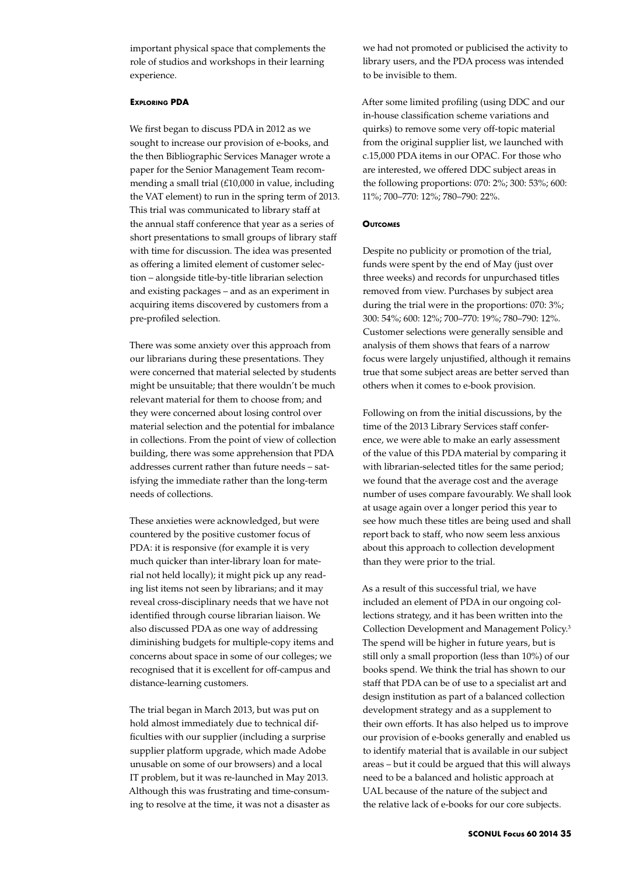important physical space that complements the role of studios and workshops in their learning experience.

## **Exploring PDA**

We first began to discuss PDA in 2012 as we sought to increase our provision of e-books, and the then Bibliographic Services Manager wrote a paper for the Senior Management Team recommending a small trial (£10,000 in value, including the VAT element) to run in the spring term of 2013. This trial was communicated to library staff at the annual staff conference that year as a series of short presentations to small groups of library staff with time for discussion. The idea was presented as offering a limited element of customer selection – alongside title-by-title librarian selection and existing packages – and as an experiment in acquiring items discovered by customers from a pre-profiled selection.

There was some anxiety over this approach from our librarians during these presentations. They were concerned that material selected by students might be unsuitable; that there wouldn't be much relevant material for them to choose from; and they were concerned about losing control over material selection and the potential for imbalance in collections. From the point of view of collection building, there was some apprehension that PDA addresses current rather than future needs – satisfying the immediate rather than the long-term needs of collections.

These anxieties were acknowledged, but were countered by the positive customer focus of PDA: it is responsive (for example it is very much quicker than inter-library loan for material not held locally); it might pick up any reading list items not seen by librarians; and it may reveal cross-disciplinary needs that we have not identified through course librarian liaison. We also discussed PDA as one way of addressing diminishing budgets for multiple-copy items and concerns about space in some of our colleges; we recognised that it is excellent for off-campus and distance-learning customers.

The trial began in March 2013, but was put on hold almost immediately due to technical difficulties with our supplier (including a surprise supplier platform upgrade, which made Adobe unusable on some of our browsers) and a local IT problem, but it was re-launched in May 2013. Although this was frustrating and time-consuming to resolve at the time, it was not a disaster as we had not promoted or publicised the activity to library users, and the PDA process was intended to be invisible to them.

After some limited profiling (using DDC and our in-house classification scheme variations and quirks) to remove some very off-topic material from the original supplier list, we launched with c.15,000 PDA items in our OPAC. For those who are interested, we offered DDC subject areas in the following proportions: 070: 2%; 300: 53%; 600: 11%; 700–770: 12%; 780–790: 22%.

#### **Outcomes**

Despite no publicity or promotion of the trial, funds were spent by the end of May (just over three weeks) and records for unpurchased titles removed from view. Purchases by subject area during the trial were in the proportions: 070: 3%; 300: 54%; 600: 12%; 700–770: 19%; 780–790: 12%. Customer selections were generally sensible and analysis of them shows that fears of a narrow focus were largely unjustified, although it remains true that some subject areas are better served than others when it comes to e-book provision.

Following on from the initial discussions, by the time of the 2013 Library Services staff conference, we were able to make an early assessment of the value of this PDA material by comparing it with librarian-selected titles for the same period; we found that the average cost and the average number of uses compare favourably. We shall look at usage again over a longer period this year to see how much these titles are being used and shall report back to staff, who now seem less anxious about this approach to collection development than they were prior to the trial.

As a result of this successful trial, we have included an element of PDA in our ongoing collections strategy, and it has been written into the Collection Development and Management Policy.3 The spend will be higher in future years, but is still only a small proportion (less than 10%) of our books spend. We think the trial has shown to our staff that PDA can be of use to a specialist art and design institution as part of a balanced collection development strategy and as a supplement to their own efforts. It has also helped us to improve our provision of e-books generally and enabled us to identify material that is available in our subject areas – but it could be argued that this will always need to be a balanced and holistic approach at UAL because of the nature of the subject and the relative lack of e-books for our core subjects.